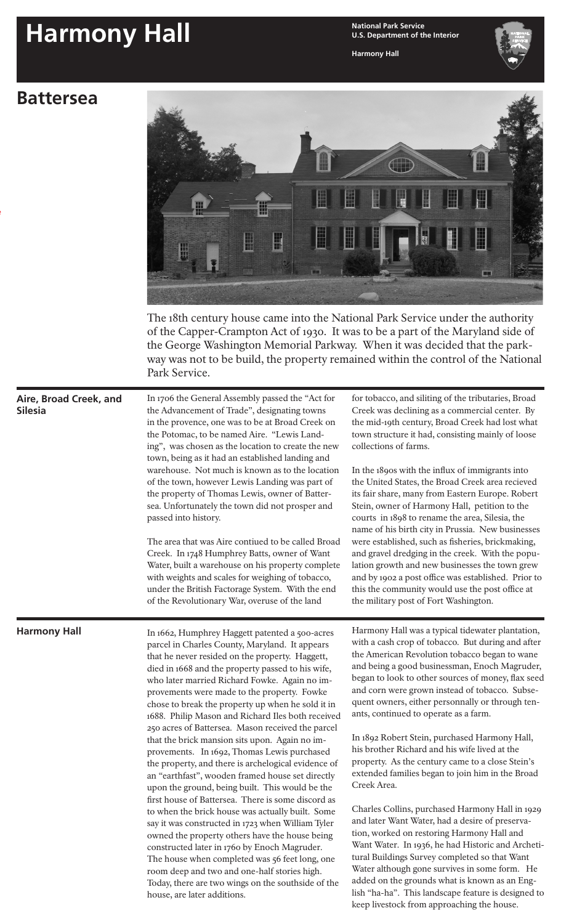## **Harmony Hall National Park Service**

**U.S. Department of the Interior**

**Harmony Hall**

## **Battersea**

locked on the "Default" layer and should not be altered or moved. Elements such as your site name and site bulletin title



Today, there are two wings on the southside of the

added on the grounds what is known as an English "ha-ha". This landscape feature is designed to keep livestock from approaching the house.

house, are later additions.